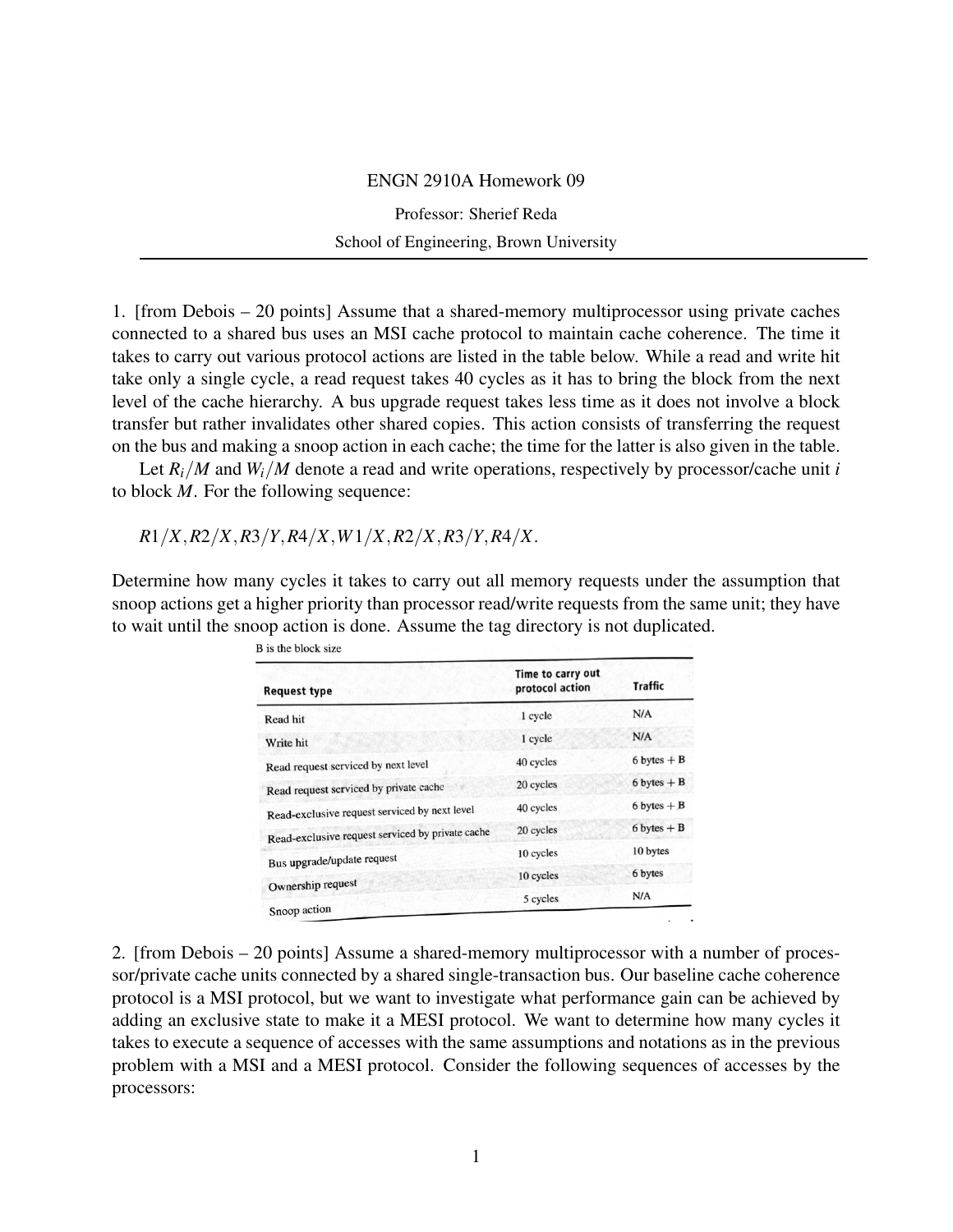## ENGN 2910A Homework 09

Professor: Sherief Reda School of Engineering, Brown University

1. [from Debois – 20 points] Assume that a shared-memory multiprocessor using private caches connected to a shared bus uses an MSI cache protocol to maintain cache coherence. The time it takes to carry out various protocol actions are listed in the table below. While a read and write hit take only a single cycle, a read request takes 40 cycles as it has to bring the block from the next level of the cache hierarchy. A bus upgrade request takes less time as it does not involve a block transfer but rather invalidates other shared copies. This action consists of transferring the request on the bus and making a snoop action in each cache; the time for the latter is also given in the table.

Let  $R_i/M$  and  $W_i/M$  denote a read and write operations, respectively by processor/cache unit *i* to block *M*. For the following sequence:

*R*1/*X*,*R*2/*X*,*R*3/*Y*,*R*4/*X*,*W*1/*X*,*R*2/*X*,*R*3/*Y*,*R*4/*X*.

Determine how many cycles it takes to carry out all memory requests under the assumption that snoop actions get a higher priority than processor read/write requests from the same unit; they have to wait until the snoop action is done. Assume the tag directory is not duplicated.

| <b>Request type</b>                              | Time to carry out<br>protocol action | <b>Traffic</b>  |
|--------------------------------------------------|--------------------------------------|-----------------|
| Read hit                                         | 1 cycle                              | N/A             |
| Write hit                                        | 1 cycle                              | N/A             |
| Read request serviced by next level              | 40 cycles                            | $6 bytes + B$   |
| Read request serviced by private cache           | 20 cycles                            | $6 bytes + B$   |
| Read-exclusive request serviced by next level    | 40 cycles                            | $6$ bytes $+ B$ |
| Read-exclusive request serviced by private cache | 20 cycles                            | $6 bytes + B$   |
| Bus upgrade/update request                       | 10 cycles                            | 10 bytes        |
| Ownership request                                | 10 cycles                            | 6 bytes         |
| Snoop action                                     | 5 cycles                             | N/A             |

2. [from Debois – 20 points] Assume a shared-memory multiprocessor with a number of processor/private cache units connected by a shared single-transaction bus. Our baseline cache coherence protocol is a MSI protocol, but we want to investigate what performance gain can be achieved by adding an exclusive state to make it a MESI protocol. We want to determine how many cycles it takes to execute a sequence of accesses with the same assumptions and notations as in the previous problem with a MSI and a MESI protocol. Consider the following sequences of accesses by the processors: